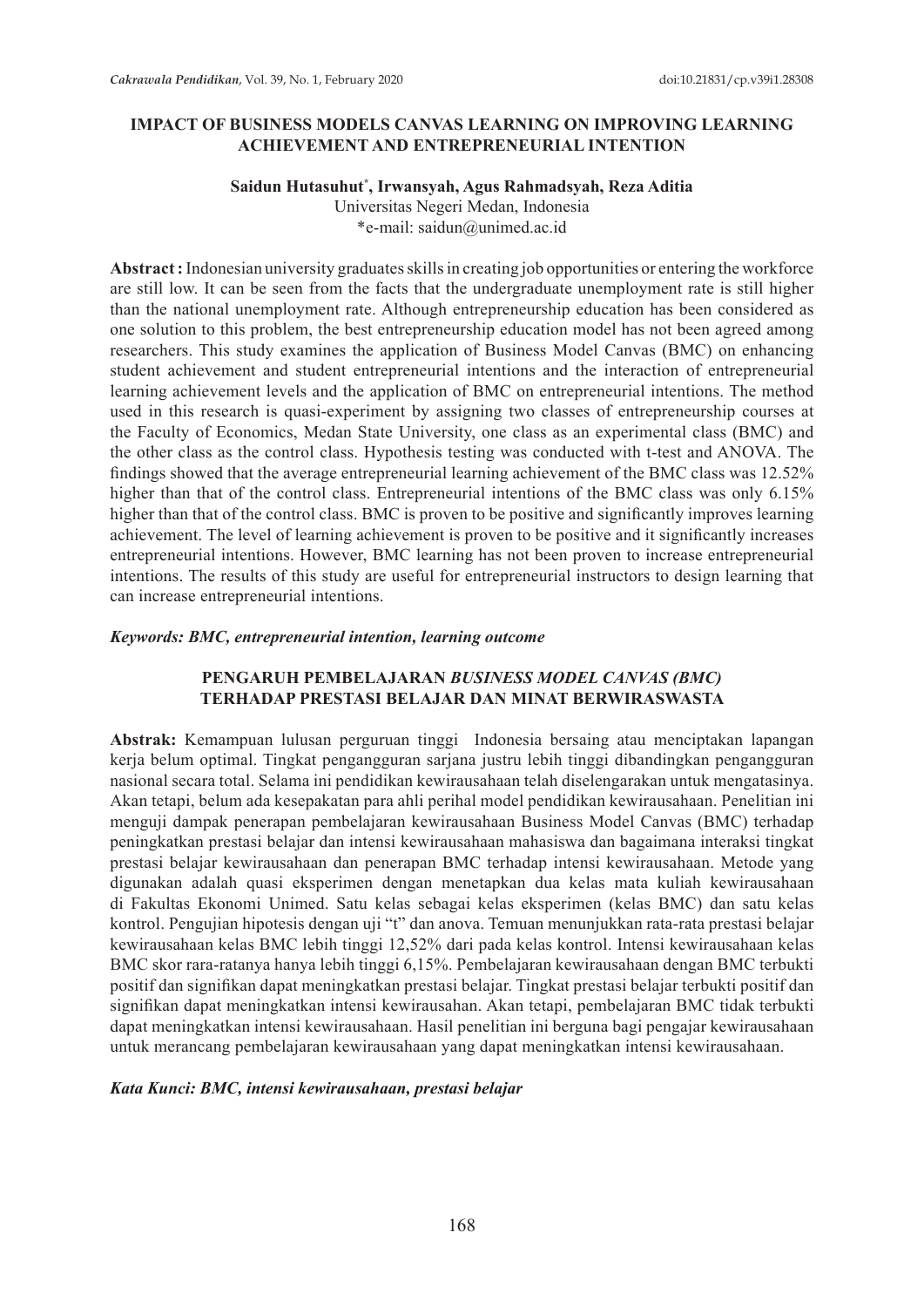### **IMPACT OF BUSINESS MODELS CANVAS LEARNING ON IMPROVING LEARNING ACHIEVEMENT AND ENTREPRENEURIAL INTENTION**

## **Saidun Hutasuhut\* , Irwansyah, Agus Rahmadsyah, Reza Aditia**

Universitas Negeri Medan, Indonesia \*e-mail: saidun@unimed.ac.id

**Abstract :** Indonesian university graduates skills in creating job opportunities or entering the workforce are still low. It can be seen from the facts that the undergraduate unemployment rate is still higher than the national unemployment rate. Although entrepreneurship education has been considered as one solution to this problem, the best entrepreneurship education model has not been agreed among researchers. This study examines the application of Business Model Canvas (BMC) on enhancing student achievement and student entrepreneurial intentions and the interaction of entrepreneurial learning achievement levels and the application of BMC on entrepreneurial intentions. The method used in this research is quasi-experiment by assigning two classes of entrepreneurship courses at the Faculty of Economics, Medan State University, one class as an experimental class (BMC) and the other class as the control class. Hypothesis testing was conducted with t-test and ANOVA. The findings showed that the average entrepreneurial learning achievement of the BMC class was 12.52% higher than that of the control class. Entrepreneurial intentions of the BMC class was only 6.15% higher than that of the control class. BMC is proven to be positive and significantly improves learning achievement. The level of learning achievement is proven to be positive and it significantly increases entrepreneurial intentions. However, BMC learning has not been proven to increase entrepreneurial intentions. The results of this study are useful for entrepreneurial instructors to design learning that can increase entrepreneurial intentions.

#### *Keywords: BMC, entrepreneurial intention, learning outcome*

## **PENGARUH PEMBELAJARAN** *BUSINESS MODEL CANVAS (BMC)*  **TERHADAP PRESTASI BELAJAR DAN MINAT BERWIRASWASTA**

**Abstrak:** Kemampuan lulusan perguruan tinggi Indonesia bersaing atau menciptakan lapangan kerja belum optimal. Tingkat pengangguran sarjana justru lebih tinggi dibandingkan pengangguran nasional secara total. Selama ini pendidikan kewirausahaan telah diselengarakan untuk mengatasinya. Akan tetapi, belum ada kesepakatan para ahli perihal model pendidikan kewirausahaan. Penelitian ini menguji dampak penerapan pembelajaran kewirausahaan Business Model Canvas (BMC) terhadap peningkatkan prestasi belajar dan intensi kewirausahaan mahasiswa dan bagaimana interaksi tingkat prestasi belajar kewirausahaan dan penerapan BMC terhadap intensi kewirausahaan. Metode yang digunakan adalah quasi eksperimen dengan menetapkan dua kelas mata kuliah kewirausahaan di Fakultas Ekonomi Unimed. Satu kelas sebagai kelas eksperimen (kelas BMC) dan satu kelas kontrol. Pengujian hipotesis dengan uji "t" dan anova. Temuan menunjukkan rata-rata prestasi belajar kewirausahaan kelas BMC lebih tinggi 12,52% dari pada kelas kontrol. Intensi kewirausahaan kelas BMC skor rara-ratanya hanya lebih tinggi 6,15%. Pembelajaran kewirausahaan dengan BMC terbukti positif dan signifikan dapat meningkatkan prestasi belajar. Tingkat prestasi belajar terbukti positif dan signifikan dapat meningkatkan intensi kewirausahan. Akan tetapi, pembelajaran BMC tidak terbukti dapat meningkatkan intensi kewirausahaan. Hasil penelitian ini berguna bagi pengajar kewirausahaan untuk merancang pembelajaran kewirausahaan yang dapat meningkatkan intensi kewirausahaan.

### *Kata Kunci: BMC, intensi kewirausahaan, prestasi belajar*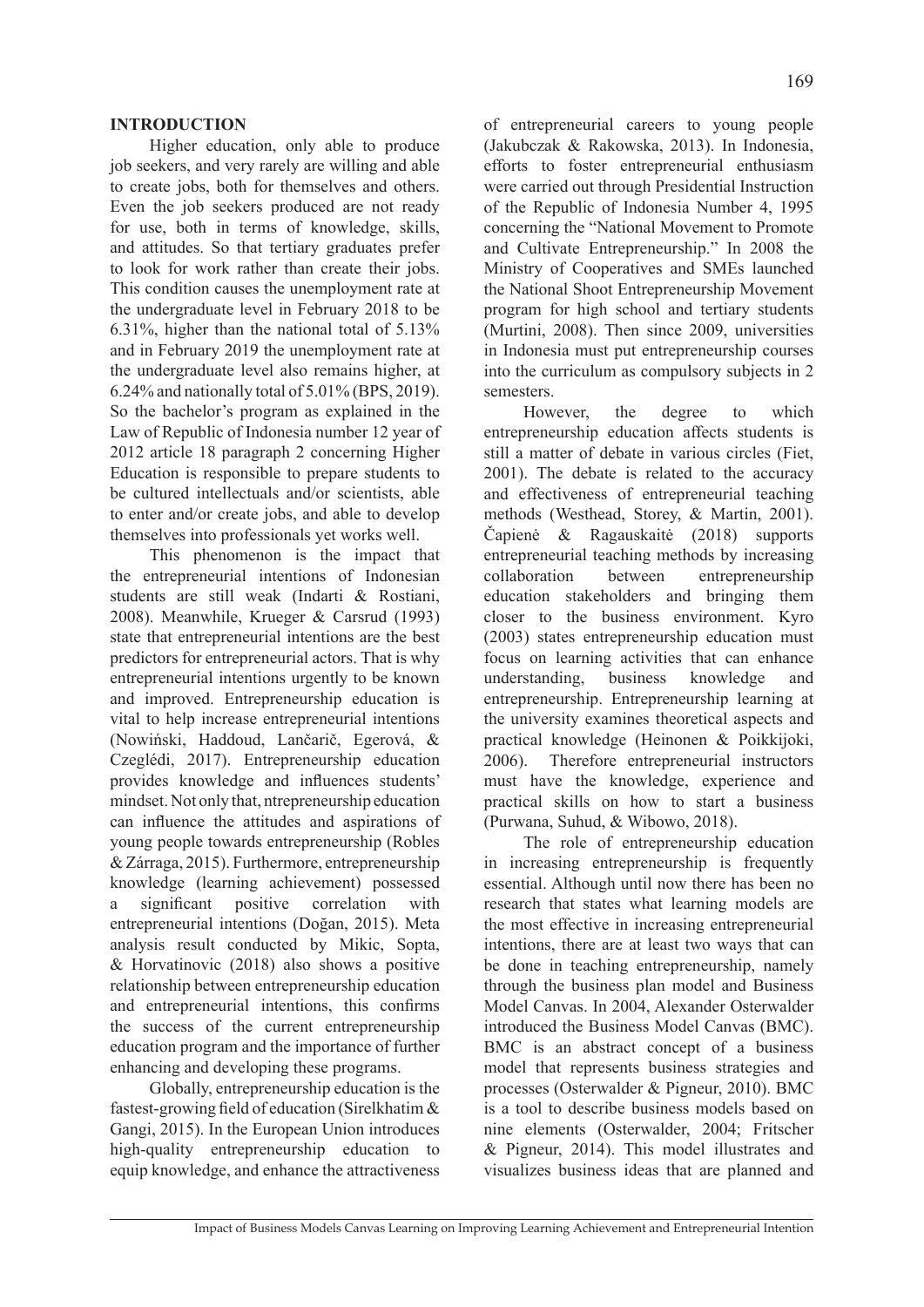### **INTRODUCTION**

Higher education, only able to produce job seekers, and very rarely are willing and able to create jobs, both for themselves and others. Even the job seekers produced are not ready for use, both in terms of knowledge, skills, and attitudes. So that tertiary graduates prefer to look for work rather than create their jobs. This condition causes the unemployment rate at the undergraduate level in February 2018 to be 6.31%, higher than the national total of 5.13% and in February 2019 the unemployment rate at the undergraduate level also remains higher, at 6.24% and nationally total of 5.01% (BPS, 2019). So the bachelor's program as explained in the Law of Republic of Indonesia number 12 year of 2012 article 18 paragraph 2 concerning Higher Education is responsible to prepare students to be cultured intellectuals and/or scientists, able to enter and/or create jobs, and able to develop themselves into professionals yet works well.

This phenomenon is the impact that the entrepreneurial intentions of Indonesian students are still weak (Indarti & Rostiani, 2008). Meanwhile, Krueger & Carsrud (1993) state that entrepreneurial intentions are the best predictors for entrepreneurial actors. That is why entrepreneurial intentions urgently to be known and improved. Entrepreneurship education is vital to help increase entrepreneurial intentions (Nowiński, Haddoud, Lančarič, Egerová, & Czeglédi, 2017). Entrepreneurship education provides knowledge and influences students' mindset. Not only that, ntrepreneurship education can influence the attitudes and aspirations of young people towards entrepreneurship (Robles & Zárraga, 2015). Furthermore, entrepreneurship knowledge (learning achievement) possessed a significant positive correlation with entrepreneurial intentions (Doğan, 2015). Meta analysis result conducted by Mikic, Sopta, & Horvatinovic (2018) also shows a positive relationship between entrepreneurship education and entrepreneurial intentions, this confirms the success of the current entrepreneurship education program and the importance of further enhancing and developing these programs.

Globally, entrepreneurship education is the fastest-growing field of education (Sirelkhatim & Gangi, 2015). In the European Union introduces high-quality entrepreneurship education to equip knowledge, and enhance the attractiveness

of entrepreneurial careers to young people (Jakubczak & Rakowska, 2013). In Indonesia, efforts to foster entrepreneurial enthusiasm were carried out through Presidential Instruction of the Republic of Indonesia Number 4, 1995 concerning the "National Movement to Promote and Cultivate Entrepreneurship." In 2008 the Ministry of Cooperatives and SMEs launched the National Shoot Entrepreneurship Movement program for high school and tertiary students (Murtini, 2008). Then since 2009, universities in Indonesia must put entrepreneurship courses into the curriculum as compulsory subjects in 2 semesters.

However, the degree to which entrepreneurship education affects students is still a matter of debate in various circles (Fiet, 2001). The debate is related to the accuracy and effectiveness of entrepreneurial teaching methods (Westhead, Storey, & Martin, 2001). Čapienė & Ragauskaitė (2018) supports entrepreneurial teaching methods by increasing collaboration between entrepreneurship education stakeholders and bringing them closer to the business environment. Kyro (2003) states entrepreneurship education must focus on learning activities that can enhance understanding, business knowledge and entrepreneurship. Entrepreneurship learning at the university examines theoretical aspects and practical knowledge (Heinonen & Poikkijoki, 2006). Therefore entrepreneurial instructors must have the knowledge, experience and practical skills on how to start a business (Purwana, Suhud, & Wibowo, 2018).

The role of entrepreneurship education in increasing entrepreneurship is frequently essential. Although until now there has been no research that states what learning models are the most effective in increasing entrepreneurial intentions, there are at least two ways that can be done in teaching entrepreneurship, namely through the business plan model and Business Model Canvas. In 2004, Alexander Osterwalder introduced the Business Model Canvas (BMC). BMC is an abstract concept of a business model that represents business strategies and processes (Osterwalder & Pigneur, 2010). BMC is a tool to describe business models based on nine elements (Osterwalder, 2004; Fritscher & Pigneur, 2014). This model illustrates and visualizes business ideas that are planned and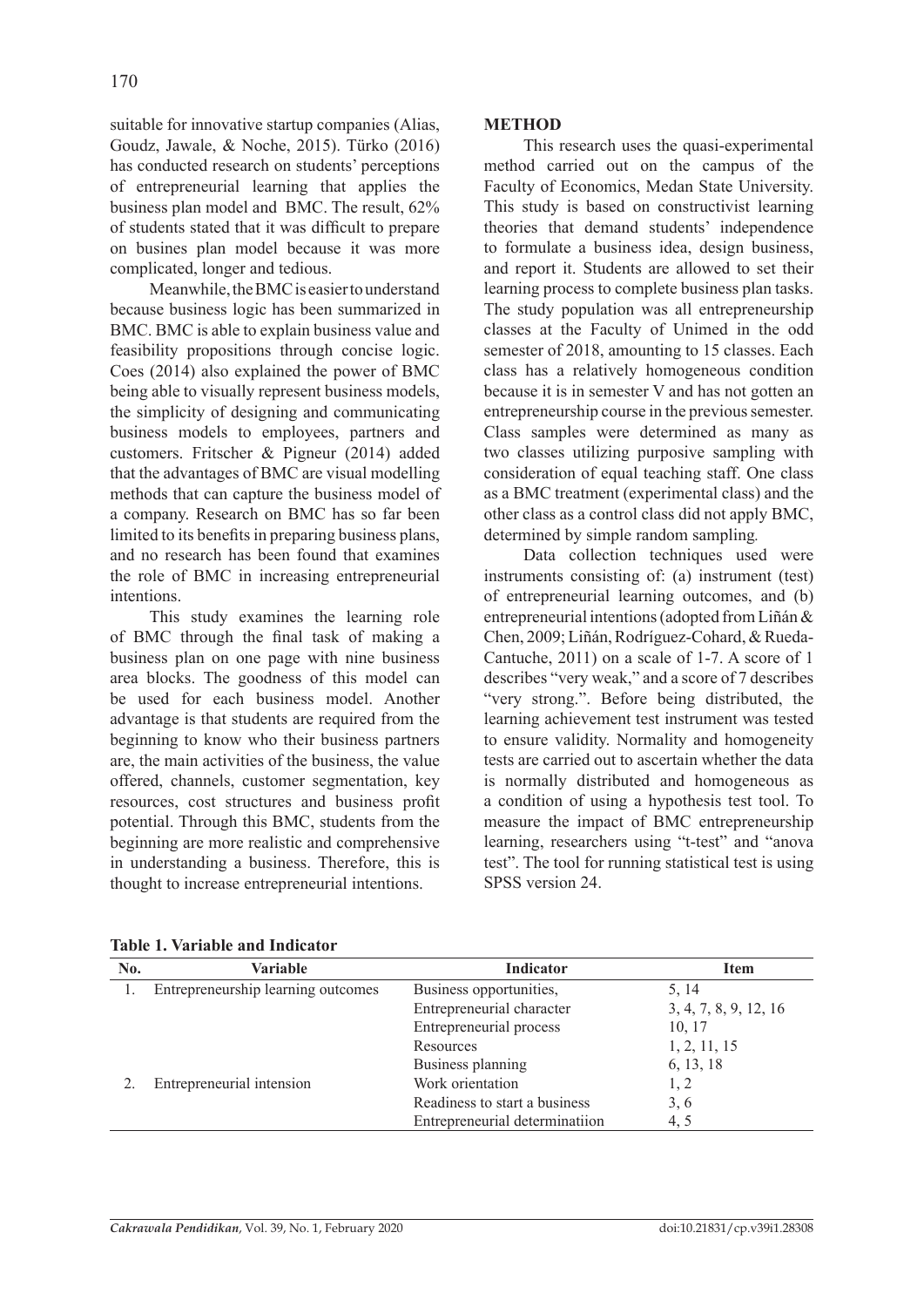suitable for innovative startup companies (Alias, Goudz, Jawale, & Noche, 2015). Türko (2016) has conducted research on students' perceptions of entrepreneurial learning that applies the business plan model and BMC. The result, 62% of students stated that it was difficult to prepare on busines plan model because it was more complicated, longer and tedious.

Meanwhile, the BMC is easier to understand because business logic has been summarized in BMC. BMC is able to explain business value and feasibility propositions through concise logic. Coes (2014) also explained the power of BMC being able to visually represent business models, the simplicity of designing and communicating business models to employees, partners and customers. Fritscher & Pigneur (2014) added that the advantages of BMC are visual modelling methods that can capture the business model of a company. Research on BMC has so far been limited to its benefits in preparing business plans, and no research has been found that examines the role of BMC in increasing entrepreneurial intentions.

This study examines the learning role of BMC through the final task of making a business plan on one page with nine business area blocks. The goodness of this model can be used for each business model. Another advantage is that students are required from the beginning to know who their business partners are, the main activities of the business, the value offered, channels, customer segmentation, key resources, cost structures and business profit potential. Through this BMC, students from the beginning are more realistic and comprehensive in understanding a business. Therefore, this is thought to increase entrepreneurial intentions.

### **METHOD**

This research uses the quasi-experimental method carried out on the campus of the Faculty of Economics, Medan State University. This study is based on constructivist learning theories that demand students' independence to formulate a business idea, design business, and report it. Students are allowed to set their learning process to complete business plan tasks. The study population was all entrepreneurship classes at the Faculty of Unimed in the odd semester of 2018, amounting to 15 classes. Each class has a relatively homogeneous condition because it is in semester V and has not gotten an entrepreneurship course in the previous semester. Class samples were determined as many as two classes utilizing purposive sampling with consideration of equal teaching staff. One class as a BMC treatment (experimental class) and the other class as a control class did not apply BMC, determined by simple random sampling*.*

Data collection techniques used were instruments consisting of: (a) instrument (test) of entrepreneurial learning outcomes, and (b) entrepreneurial intentions (adopted from Liñán & Chen, 2009; Liñán, Rodríguez-Cohard, & Rueda-Cantuche, 2011) on a scale of 1-7. A score of 1 describes "very weak," and a score of 7 describes "very strong.". Before being distributed, the learning achievement test instrument was tested to ensure validity. Normality and homogeneity tests are carried out to ascertain whether the data is normally distributed and homogeneous as a condition of using a hypothesis test tool. To measure the impact of BMC entrepreneurship learning, researchers using "t-test" and "anova test". The tool for running statistical test is using SPSS version 24.

| No. | Variable                           | <b>Indicator</b>               | <b>Item</b>           |
|-----|------------------------------------|--------------------------------|-----------------------|
|     | Entrepreneurship learning outcomes | Business opportunities,        | 5, 14                 |
|     |                                    | Entrepreneurial character      | 3, 4, 7, 8, 9, 12, 16 |
|     |                                    | Entrepreneurial process        | 10, 17                |
|     |                                    | Resources                      | 1, 2, 11, 15          |
|     |                                    | Business planning              | 6, 13, 18             |
|     | Entrepreneurial intension          | Work orientation               | 1, 2                  |
|     |                                    | Readiness to start a business  | 3, 6                  |
|     |                                    | Entrepreneurial determinatiion | 4.5                   |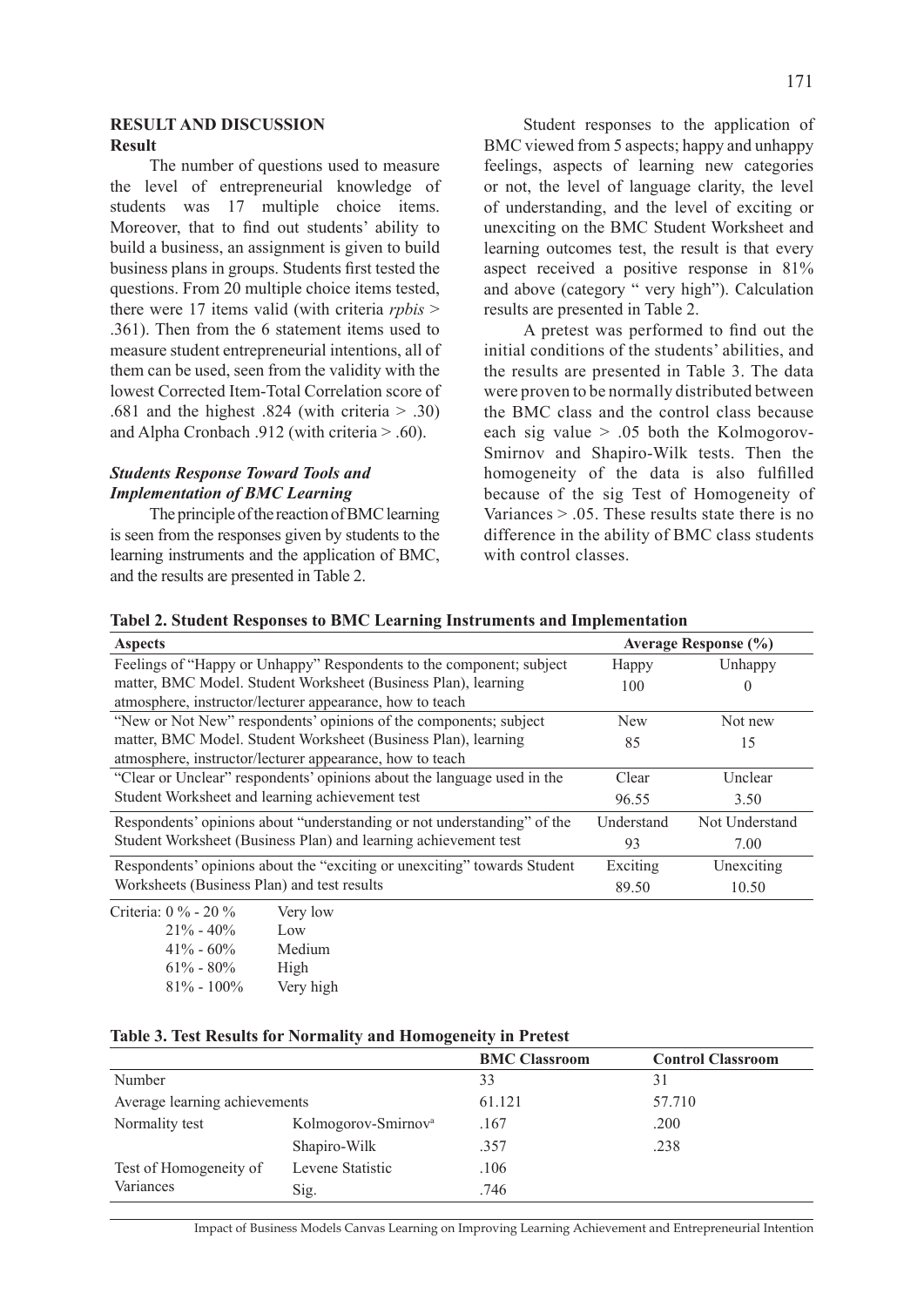### **RESULT AND DISCUSSION Result**

The number of questions used to measure the level of entrepreneurial knowledge of students was 17 multiple choice items. Moreover, that to find out students' ability to build a business, an assignment is given to build business plans in groups. Students first tested the questions. From 20 multiple choice items tested, there were 17 items valid (with criteria *rpbis* > .361). Then from the 6 statement items used to measure student entrepreneurial intentions, all of them can be used, seen from the validity with the lowest Corrected Item-Total Correlation score of .681 and the highest .824 (with criteria  $> .30$ ) and Alpha Cronbach .912 (with criteria > .60).

# *Students Response Toward Tools and Implementation of BMC Learning*

The principle of the reaction of BMC learning is seen from the responses given by students to the learning instruments and the application of BMC, and the results are presented in Table 2.

Student responses to the application of BMC viewed from 5 aspects; happy and unhappy feelings, aspects of learning new categories or not, the level of language clarity, the level of understanding, and the level of exciting or unexciting on the BMC Student Worksheet and learning outcomes test, the result is that every aspect received a positive response in 81% and above (category " very high"). Calculation results are presented in Table 2.

A pretest was performed to find out the initial conditions of the students' abilities, and the results are presented in Table 3. The data were proven to be normally distributed between the BMC class and the control class because each sig value  $> .05$  both the Kolmogorov-Smirnov and Shapiro-Wilk tests. Then the homogeneity of the data is also fulfilled because of the sig Test of Homogeneity of Variances  $> 0.05$ . These results state there is no difference in the ability of BMC class students with control classes

| Tabel 2. Student Responses to BMC Learning Instruments and Implementation |  |  |  |
|---------------------------------------------------------------------------|--|--|--|
|---------------------------------------------------------------------------|--|--|--|

| <b>Aspects</b>                                                           |            | <b>Average Response (%)</b> |
|--------------------------------------------------------------------------|------------|-----------------------------|
| Feelings of "Happy or Unhappy" Respondents to the component; subject     | Happy      | Unhappy                     |
| matter, BMC Model. Student Worksheet (Business Plan), learning           | 100        | $\theta$                    |
| atmosphere, instructor/lecturer appearance, how to teach                 |            |                             |
| "New or Not New" respondents' opinions of the components; subject        | <b>New</b> | Not new                     |
| matter, BMC Model. Student Worksheet (Business Plan), learning           | 85         | 15                          |
| atmosphere, instructor/lecturer appearance, how to teach                 |            |                             |
| "Clear or Unclear" respondents' opinions about the language used in the  | Clear      | Unclear                     |
| Student Worksheet and learning achievement test                          | 96.55      | 3.50                        |
| Respondents' opinions about "understanding or not understanding" of the  | Understand | Not Understand              |
| Student Worksheet (Business Plan) and learning achievement test          | 93         | 7.00                        |
| Respondents' opinions about the "exciting or unexciting" towards Student | Exciting   | Unexciting                  |
| Worksheets (Business Plan) and test results                              | 89.50      | 10.50                       |
| Criteria: 0 % - 20 %<br>Very low                                         |            |                             |

 $21\% - 40\%$  Low 41% - 60% Medium  $61\% - 80\%$  High 81% - 100% Very high

### **Table 3. Test Results for Normality and Homogeneity in Pretest**

|                               |                                 | <b>BMC Classroom</b> | <b>Control Classroom</b> |
|-------------------------------|---------------------------------|----------------------|--------------------------|
| Number                        |                                 | 33                   | 31                       |
| Average learning achievements |                                 | 61.121               | 57.710                   |
| Normality test                | Kolmogorov-Smirnov <sup>a</sup> | .167                 | .200                     |
|                               | Shapiro-Wilk                    | .357                 | .238                     |
| Test of Homogeneity of        | Levene Statistic                | .106                 |                          |
| Variances                     | Sig.                            | .746                 |                          |
|                               |                                 |                      |                          |

Impact of Business Models Canvas Learning on Improving Learning Achievement and Entrepreneurial Intention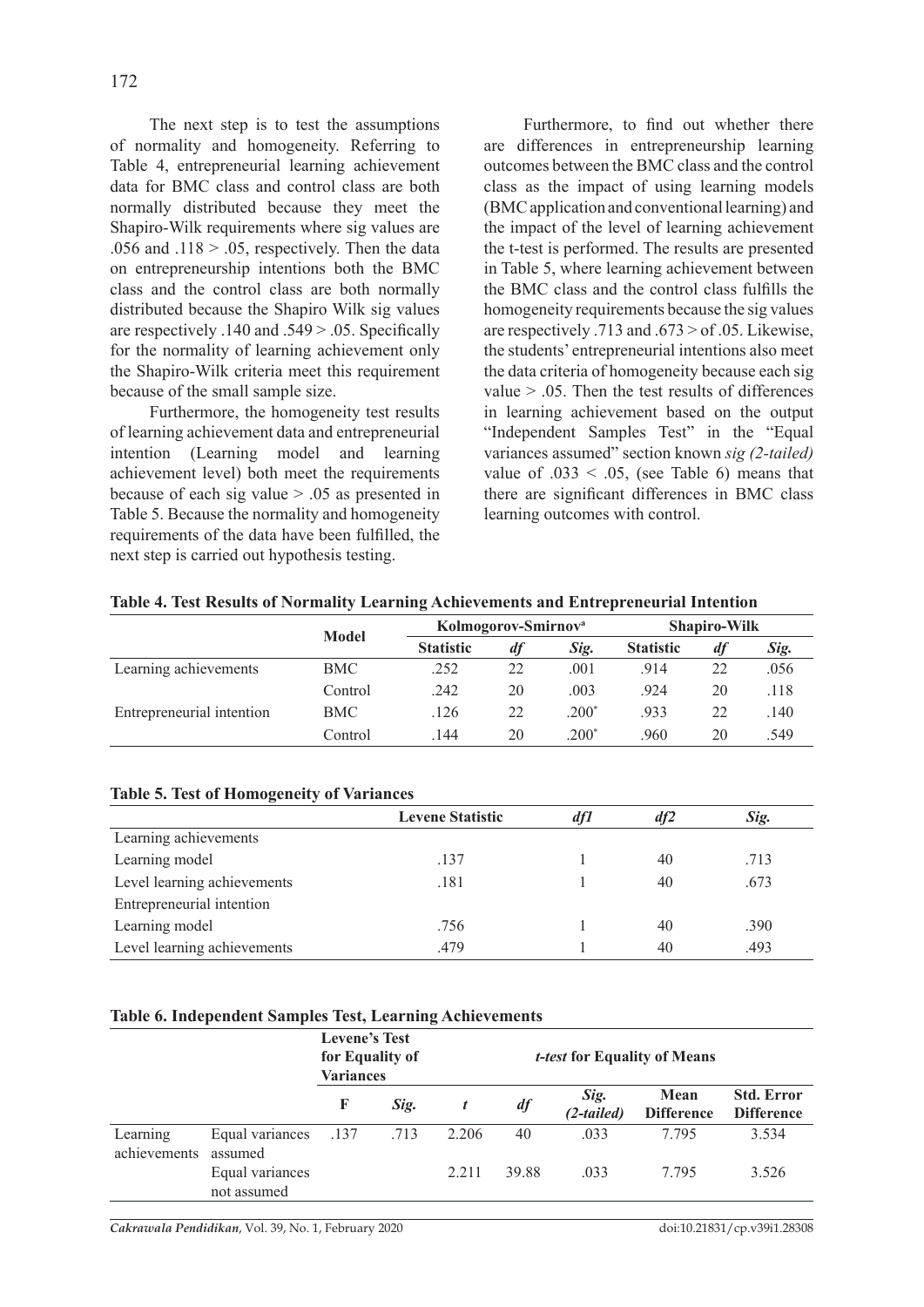The next step is to test the assumptions of normality and homogeneity. Referring to Table 4, entrepreneurial learning achievement data for BMC class and control class are both normally distributed because they meet the Shapiro-Wilk requirements where sig values are .056 and .118  $> 0.05$ , respectively. Then the data on entrepreneurship intentions both the BMC class and the control class are both normally distributed because the Shapiro Wilk sig values are respectively .140 and .549 > .05. Specifically for the normality of learning achievement only the Shapiro-Wilk criteria meet this requirement because of the small sample size.

Furthermore, the homogeneity test results of learning achievement data and entrepreneurial intention (Learning model and learning achievement level) both meet the requirements because of each sig value > .05 as presented in Table 5. Because the normality and homogeneity requirements of the data have been fulfilled, the next step is carried out hypothesis testing.

Furthermore, to find out whether there are differences in entrepreneurship learning outcomes between the BMC class and the control class as the impact of using learning models (BMC application and conventional learning) and the impact of the level of learning achievement the t-test is performed. The results are presented in Table 5, where learning achievement between the BMC class and the control class fulfills the homogeneity requirements because the sig values are respectively .713 and .673 > of .05. Likewise, the students' entrepreneurial intentions also meet the data criteria of homogeneity because each sig value  $> 0.05$ . Then the test results of differences in learning achievement based on the output "Independent Samples Test" in the "Equal variances assumed" section known *sig (2-tailed)* value of  $.033 < .05$ , (see Table 6) means that there are significant differences in BMC class learning outcomes with control.

|                           |              |                  | Kolmogorov-Smirnov <sup>a</sup> |         |                  | <b>Shapiro-Wilk</b> |      |
|---------------------------|--------------|------------------|---------------------------------|---------|------------------|---------------------|------|
|                           | <b>Model</b> | <b>Statistic</b> | df                              | Sig.    | <b>Statistic</b> | df                  | Sig. |
| Learning achievements     | <b>BMC</b>   | .252             | 22                              | .001    | .914             | 22                  | .056 |
|                           | Control      | .242             | 20                              | .003    | .924             | 20                  | .118 |
| Entrepreneurial intention | <b>BMC</b>   | .126             | 22                              | $.200*$ | .933             | 22                  | 140  |
|                           | Control      | .144             | 20                              | $200*$  | 960              | 20                  | .549 |

**Table 4. Test Results of Normality Learning Achievements and Entrepreneurial Intention**

### **Table 5. Test of Homogeneity of Variances**

|                             | <b>Levene Statistic</b> | df1 | df2 | Sig. |
|-----------------------------|-------------------------|-----|-----|------|
| Learning achievements       |                         |     |     |      |
| Learning model              | .137                    |     | 40  | .713 |
| Level learning achievements | .181                    |     | 40  | .673 |
| Entrepreneurial intention   |                         |     |     |      |
| Learning model              | .756                    |     | 40  | .390 |
| Level learning achievements | .479                    |     | 40  | .493 |

### **Table 6. Independent Samples Test, Learning Achievements**

|                          |                                | <b>Levene's Test</b><br>for Equality of<br><b>Variances</b> |      |       |       |                    | <i>t-test</i> for Equality of Means |                                        |  |
|--------------------------|--------------------------------|-------------------------------------------------------------|------|-------|-------|--------------------|-------------------------------------|----------------------------------------|--|
|                          |                                | F                                                           | Sig. |       | df    | Sig.<br>(2-tailed) | Mean<br><b>Difference</b>           | <b>Std. Error</b><br><b>Difference</b> |  |
| Learning<br>achievements | Equal variances<br>assumed     | .137                                                        | .713 | 2.206 | 40    | .033               | 7 7 9 5                             | 3.534                                  |  |
|                          | Equal variances<br>not assumed |                                                             |      | 2.211 | 39.88 | .033               | 7 7 9 5                             | 3.526                                  |  |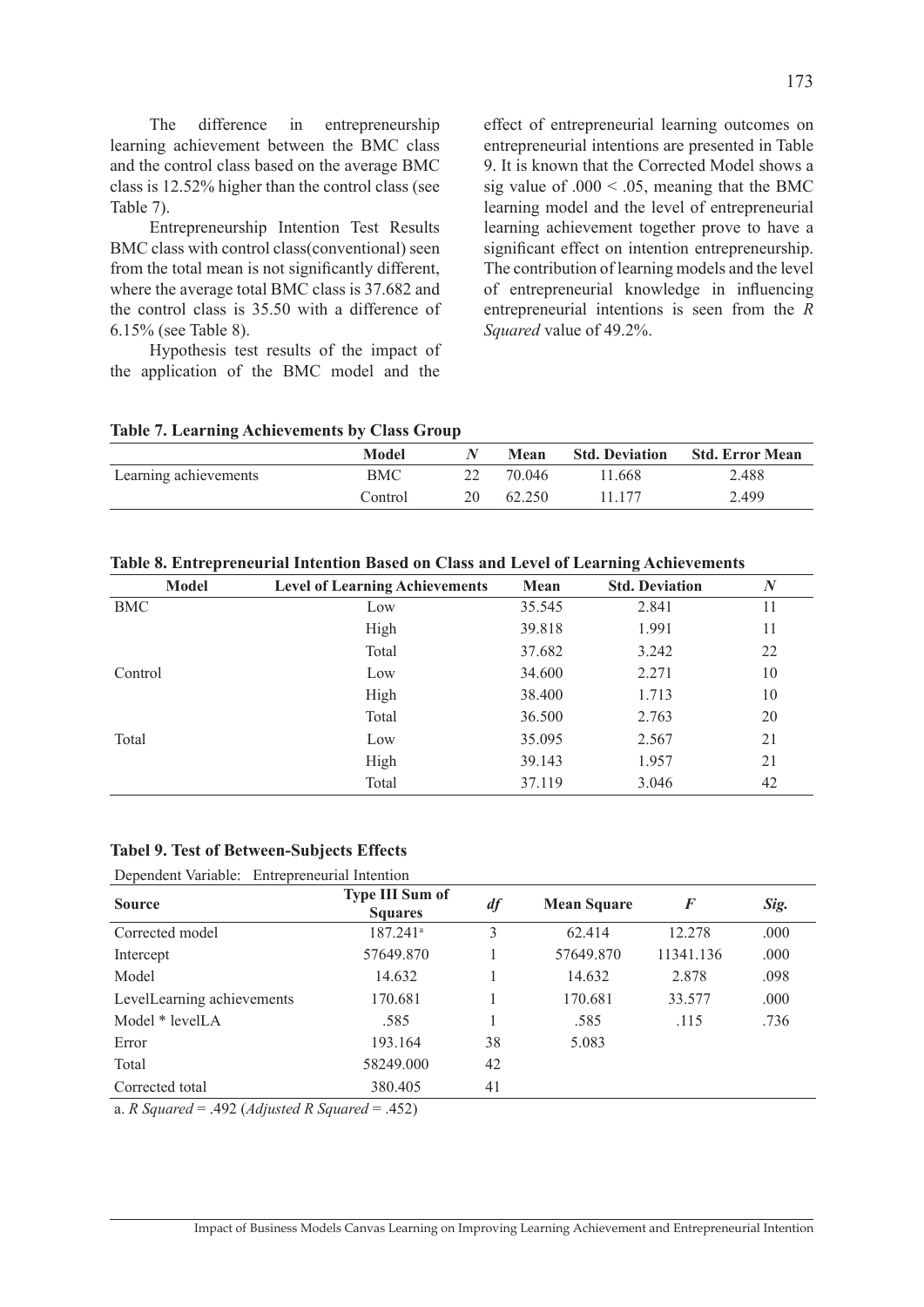The difference in entrepreneurship learning achievement between the BMC class and the control class based on the average BMC class is 12.52% higher than the control class (see Table 7).

Entrepreneurship Intention Test Results BMC class with control class(conventional) seen from the total mean is not significantly different, where the average total BMC class is 37.682 and the control class is 35.50 with a difference of 6.15% (see Table 8).

Hypothesis test results of the impact of the application of the BMC model and the

effect of entrepreneurial learning outcomes on entrepreneurial intentions are presented in Table 9. It is known that the Corrected Model shows a sig value of  $.000 \le 0.05$ , meaning that the BMC learning model and the level of entrepreneurial learning achievement together prove to have a significant effect on intention entrepreneurship. The contribution of learning models and the level of entrepreneurial knowledge in influencing entrepreneurial intentions is seen from the *R Squared* value of 49.2%.

|  | <b>Table 7. Learning Achievements by Class Group</b> |  |  |
|--|------------------------------------------------------|--|--|
|  |                                                      |  |  |

|                       | Model   | $\mathbf w$ | <b>Mean</b> |        | <b>Std. Deviation Std. Error Mean</b> |
|-----------------------|---------|-------------|-------------|--------|---------------------------------------|
| Learning achievements | BMC     |             | 70.046      | 1.668  | 2.488                                 |
|                       | Control | 20          | 62.250      | 11 177 | 2.499                                 |

|  |  |  | Table 8. Entrepreneurial Intention Based on Class and Level of Learning Achievements |
|--|--|--|--------------------------------------------------------------------------------------|
|--|--|--|--------------------------------------------------------------------------------------|

| Model   | <b>Level of Learning Achievements</b> | Mean   | <b>Std. Deviation</b> | $\boldsymbol{N}$ |
|---------|---------------------------------------|--------|-----------------------|------------------|
| BMC     | Low                                   | 35.545 | 2.841                 | 11               |
|         | High                                  | 39.818 | 1.991                 | 11               |
|         | Total                                 | 37.682 | 3.242                 | 22               |
| Control | Low                                   | 34.600 | 2.271                 | 10               |
|         | High                                  | 38.400 | 1.713                 | 10               |
|         | Total                                 | 36.500 | 2.763                 | 20               |
| Total   | Low                                   | 35.095 | 2.567                 | 21               |
|         | High                                  | 39.143 | 1.957                 | 21               |
|         | Total                                 | 37.119 | 3.046                 | 42               |

#### **Tabel 9. Test of Between-Subjects Effects**

| Dependent Variable: Entrepreneurial Intention |
|-----------------------------------------------|
| Type III Sum of                               |

| <b>Source</b>              | <b>Type III Sum of</b><br><b>Squares</b> | df | <b>Mean Square</b> | F         | Sig. |
|----------------------------|------------------------------------------|----|--------------------|-----------|------|
| Corrected model            | $187.241$ <sup>a</sup>                   | 3  | 62.414             | 12.278    | .000 |
| Intercept                  | 57649.870                                |    | 57649.870          | 11341.136 | .000 |
| Model                      | 14.632                                   |    | 14.632             | 2.878     | .098 |
| LevelLearning achievements | 170.681                                  |    | 170.681            | 33.577    | .000 |
| Model * levelLA            | .585                                     |    | .585               | .115      | .736 |
| Error                      | 193.164                                  | 38 | 5.083              |           |      |
| Total                      | 58249.000                                | 42 |                    |           |      |
| Corrected total            | 380.405                                  | 41 |                    |           |      |
| ____                       |                                          |    |                    |           |      |

a. *R Squared* = .492 (*Adjusted R Squared* = .452)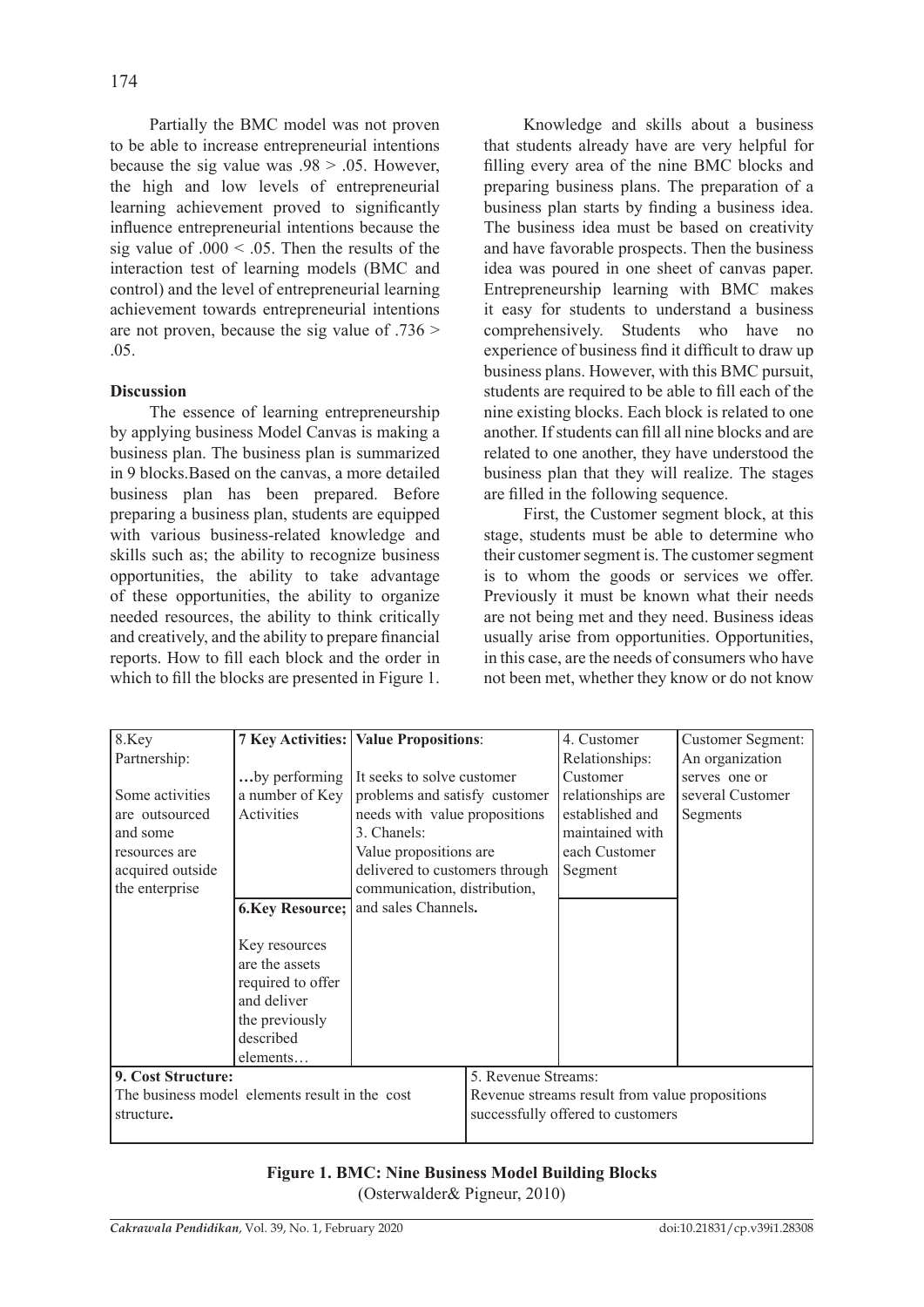Partially the BMC model was not proven to be able to increase entrepreneurial intentions because the sig value was  $.98 > .05$ . However, the high and low levels of entrepreneurial learning achievement proved to significantly influence entrepreneurial intentions because the sig value of  $.000 \le 0.05$ . Then the results of the interaction test of learning models (BMC and control) and the level of entrepreneurial learning achievement towards entrepreneurial intentions are not proven, because the sig value of .736 > .05.

## **Discussion**

The essence of learning entrepreneurship by applying business Model Canvas is making a business plan. The business plan is summarized in 9 blocks.Based on the canvas, a more detailed business plan has been prepared. Before preparing a business plan, students are equipped with various business-related knowledge and skills such as; the ability to recognize business opportunities, the ability to take advantage of these opportunities, the ability to organize needed resources, the ability to think critically and creatively, and the ability to prepare financial reports. How to fill each block and the order in which to fill the blocks are presented in Figure 1.

Knowledge and skills about a business that students already have are very helpful for filling every area of the nine BMC blocks and preparing business plans. The preparation of a business plan starts by finding a business idea. The business idea must be based on creativity and have favorable prospects. Then the business idea was poured in one sheet of canvas paper. Entrepreneurship learning with BMC makes it easy for students to understand a business comprehensively. Students who have no experience of business find it difficult to draw up business plans. However, with this BMC pursuit, students are required to be able to fill each of the nine existing blocks. Each block is related to one another. If students can fill all nine blocks and are related to one another, they have understood the business plan that they will realize. The stages are filled in the following sequence.

First, the Customer segment block, at this stage, students must be able to determine who their customer segment is. The customer segment is to whom the goods or services we offer. Previously it must be known what their needs are not being met and they need. Business ideas usually arise from opportunities. Opportunities, in this case, are the needs of consumers who have not been met, whether they know or do not know

| 8.Key                                          |                   | <b>7 Key Activities: Value Propositions:</b>   |                                   | 4. Customer       | Customer Segment: |  |
|------------------------------------------------|-------------------|------------------------------------------------|-----------------------------------|-------------------|-------------------|--|
| Partnership:                                   |                   |                                                |                                   | Relationships:    | An organization   |  |
|                                                |                   | by performing It seeks to solve customer       |                                   | Customer          | serves one or     |  |
| Some activities                                | a number of Key   | problems and satisfy customer                  |                                   | relationships are | several Customer  |  |
| are outsourced                                 | Activities        | needs with value propositions                  |                                   | established and   | Segments          |  |
| and some                                       |                   | 3. Chanels:                                    |                                   | maintained with   |                   |  |
| resources are                                  |                   | Value propositions are                         |                                   | each Customer     |                   |  |
| acquired outside                               |                   | delivered to customers through                 |                                   | Segment           |                   |  |
| the enterprise                                 |                   | communication, distribution,                   |                                   |                   |                   |  |
|                                                |                   | 6. Key Resource; and sales Channels.           |                                   |                   |                   |  |
|                                                |                   |                                                |                                   |                   |                   |  |
|                                                | Key resources     |                                                |                                   |                   |                   |  |
|                                                | are the assets    |                                                |                                   |                   |                   |  |
|                                                | required to offer |                                                |                                   |                   |                   |  |
|                                                | and deliver       |                                                |                                   |                   |                   |  |
|                                                | the previously    |                                                |                                   |                   |                   |  |
|                                                | described         |                                                |                                   |                   |                   |  |
|                                                | elements          |                                                |                                   |                   |                   |  |
| 9. Cost Structure:                             |                   |                                                | 5. Revenue Streams:               |                   |                   |  |
| The business model elements result in the cost |                   | Revenue streams result from value propositions |                                   |                   |                   |  |
|                                                |                   |                                                | successfully offered to customers |                   |                   |  |
| structure.                                     |                   |                                                |                                   |                   |                   |  |

**Figure 1. BMC: Nine Business Model Building Blocks**  (Osterwalder& Pigneur, 2010)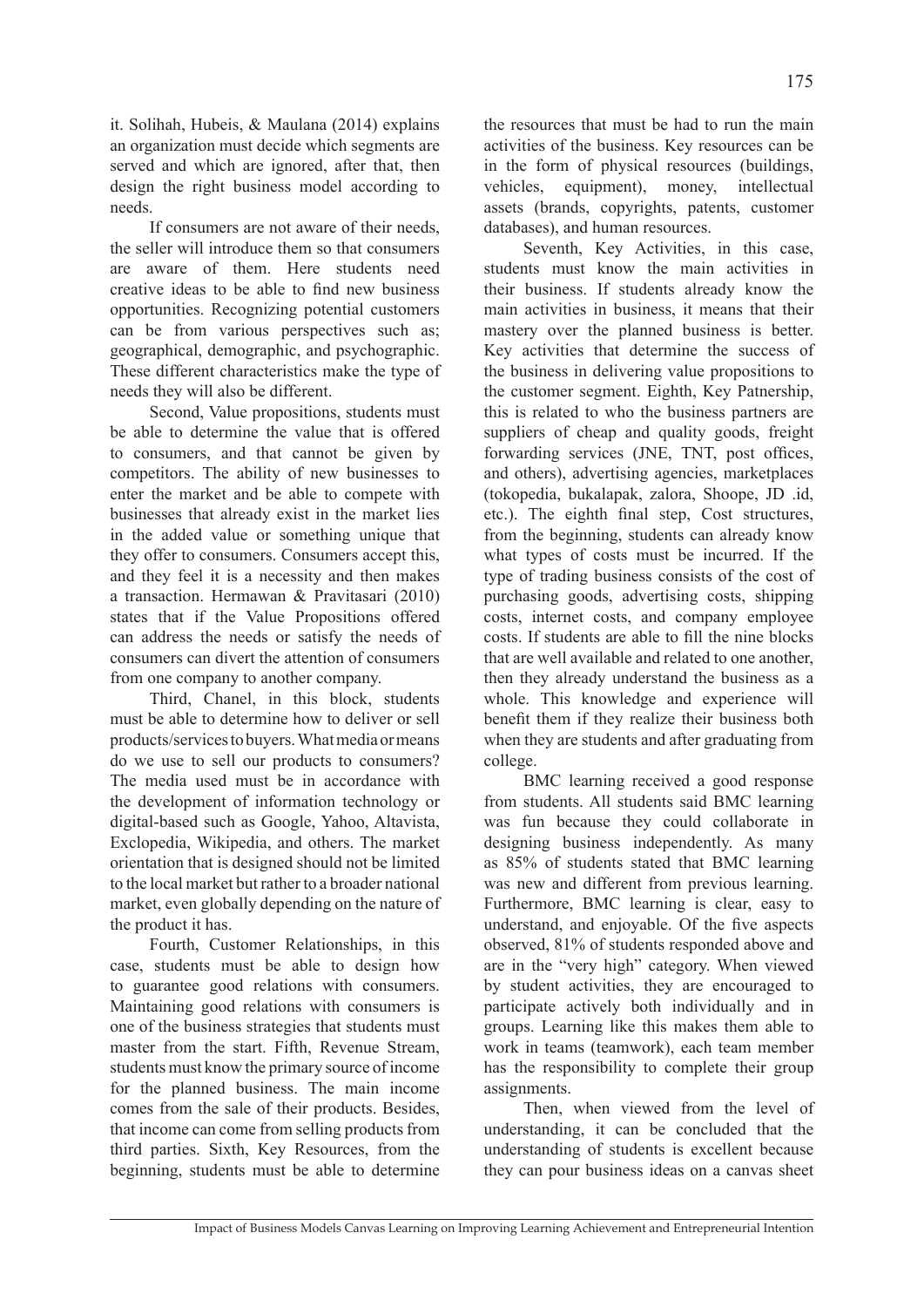it. Solihah, Hubeis, & Maulana (2014) explains an organization must decide which segments are served and which are ignored, after that, then design the right business model according to needs.

If consumers are not aware of their needs, the seller will introduce them so that consumers are aware of them. Here students need creative ideas to be able to find new business opportunities. Recognizing potential customers can be from various perspectives such as; geographical, demographic, and psychographic. These different characteristics make the type of needs they will also be different.

Second, Value propositions, students must be able to determine the value that is offered to consumers, and that cannot be given by competitors. The ability of new businesses to enter the market and be able to compete with businesses that already exist in the market lies in the added value or something unique that they offer to consumers. Consumers accept this, and they feel it is a necessity and then makes a transaction. Hermawan & Pravitasari (2010) states that if the Value Propositions offered can address the needs or satisfy the needs of consumers can divert the attention of consumers from one company to another company.

Third, Chanel, in this block, students must be able to determine how to deliver or sell products/services to buyers. What media or means do we use to sell our products to consumers? The media used must be in accordance with the development of information technology or digital-based such as Google, Yahoo, Altavista, Exclopedia, Wikipedia, and others. The market orientation that is designed should not be limited to the local market but rather to a broader national market, even globally depending on the nature of the product it has.

Fourth, Customer Relationships, in this case, students must be able to design how to guarantee good relations with consumers. Maintaining good relations with consumers is one of the business strategies that students must master from the start. Fifth, Revenue Stream, students must know the primary source of income for the planned business. The main income comes from the sale of their products. Besides, that income can come from selling products from third parties. Sixth, Key Resources, from the beginning, students must be able to determine the resources that must be had to run the main activities of the business. Key resources can be in the form of physical resources (buildings, vehicles, equipment), money, intellectual assets (brands, copyrights, patents, customer databases), and human resources.

Seventh, Key Activities, in this case, students must know the main activities in their business. If students already know the main activities in business, it means that their mastery over the planned business is better. Key activities that determine the success of the business in delivering value propositions to the customer segment. Eighth, Key Patnership, this is related to who the business partners are suppliers of cheap and quality goods, freight forwarding services (JNE, TNT, post offices, and others), advertising agencies, marketplaces (tokopedia, bukalapak, zalora, Shoope, JD .id, etc.). The eighth final step, Cost structures, from the beginning, students can already know what types of costs must be incurred. If the type of trading business consists of the cost of purchasing goods, advertising costs, shipping costs, internet costs, and company employee costs. If students are able to fill the nine blocks that are well available and related to one another, then they already understand the business as a whole. This knowledge and experience will benefit them if they realize their business both when they are students and after graduating from college.

BMC learning received a good response from students. All students said BMC learning was fun because they could collaborate in designing business independently. As many as 85% of students stated that BMC learning was new and different from previous learning. Furthermore, BMC learning is clear, easy to understand, and enjoyable. Of the five aspects observed, 81% of students responded above and are in the "very high" category. When viewed by student activities, they are encouraged to participate actively both individually and in groups. Learning like this makes them able to work in teams (teamwork), each team member has the responsibility to complete their group assignments.

Then, when viewed from the level of understanding, it can be concluded that the understanding of students is excellent because they can pour business ideas on a canvas sheet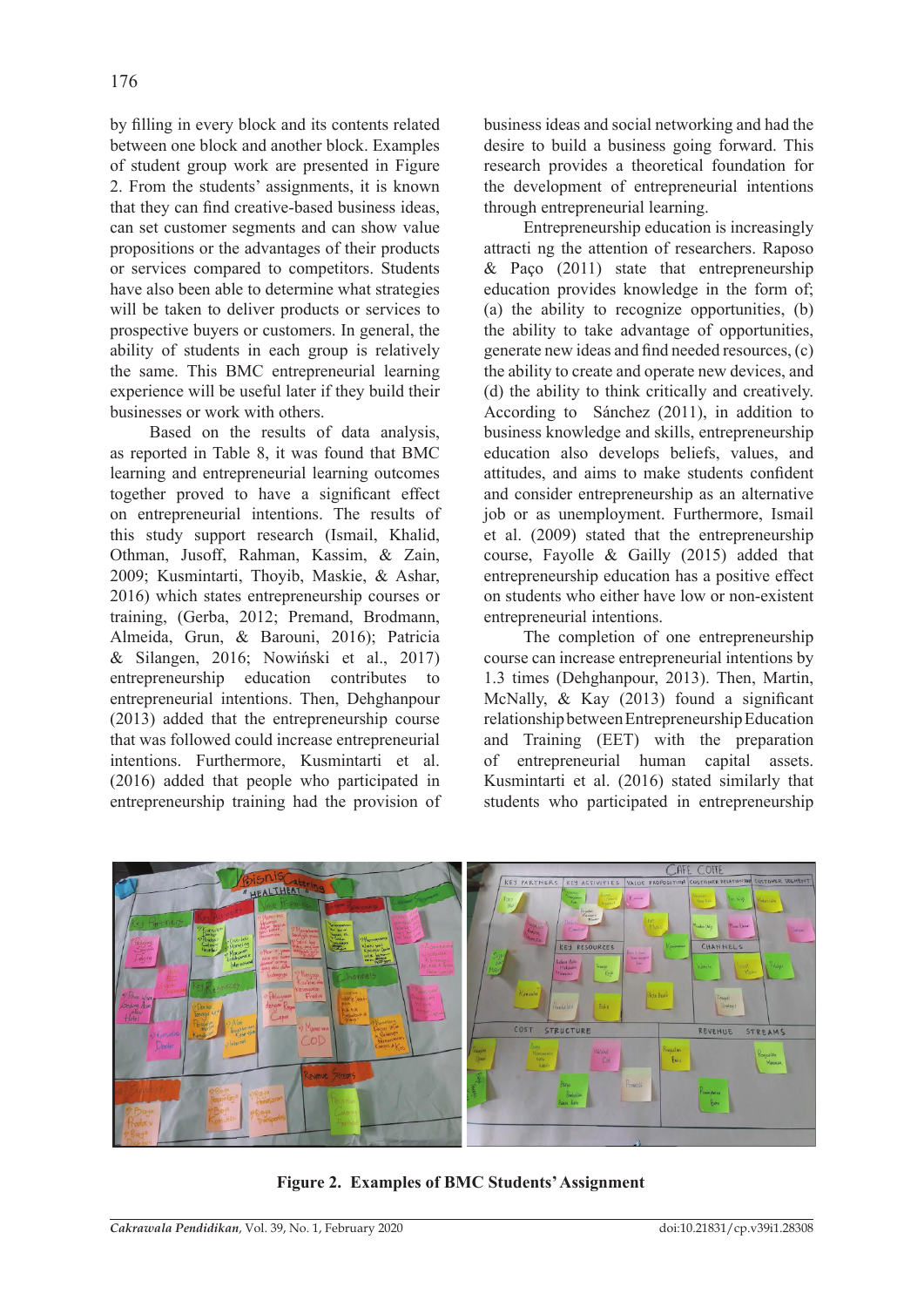by filling in every block and its contents related between one block and another block. Examples of student group work are presented in Figure 2. From the students' assignments, it is known that they can find creative-based business ideas, can set customer segments and can show value propositions or the advantages of their products or services compared to competitors. Students have also been able to determine what strategies will be taken to deliver products or services to prospective buyers or customers. In general, the ability of students in each group is relatively the same. This BMC entrepreneurial learning experience will be useful later if they build their businesses or work with others.

Based on the results of data analysis, as reported in Table 8, it was found that BMC learning and entrepreneurial learning outcomes together proved to have a significant effect on entrepreneurial intentions. The results of this study support research (Ismail, Khalid, Othman, Jusoff, Rahman, Kassim, & Zain, 2009; Kusmintarti, Thoyib, Maskie, & Ashar, 2016) which states entrepreneurship courses or training, (Gerba, 2012; Premand, Brodmann, Almeida, Grun, & Barouni, 2016); Patricia & Silangen, 2016; Nowiński et al., 2017) entrepreneurship education contributes to entrepreneurial intentions. Then, Dehghanpour (2013) added that the entrepreneurship course that was followed could increase entrepreneurial intentions. Furthermore, Kusmintarti et al. (2016) added that people who participated in entrepreneurship training had the provision of business ideas and social networking and had the desire to build a business going forward. This research provides a theoretical foundation for the development of entrepreneurial intentions through entrepreneurial learning.

Entrepreneurship education is increasingly attracti ng the attention of researchers. Raposo  $& Paco (2011) state that enter the energy of the energy.$ education provides knowledge in the form of; (a) the ability to recognize opportunities, (b) the ability to take advantage of opportunities, generate new ideas and find needed resources, (c) the ability to create and operate new devices, and (d) the ability to think critically and creatively. According to Sánchez (2011), in addition to business knowledge and skills, entrepreneurship education also develops beliefs, values, and attitudes, and aims to make students confident and consider entrepreneurship as an alternative job or as unemployment. Furthermore, Ismail et al. (2009) stated that the entrepreneurship course, Fayolle & Gailly (2015) added that entrepreneurship education has a positive effect on students who either have low or non-existent entrepreneurial intentions.

The completion of one entrepreneurship course can increase entrepreneurial intentions by 1.3 times (Dehghanpour, 2013). Then, Martin, McNally, & Kay (2013) found a significant relationship between Entrepreneurship Education and Training (EET) with the preparation of entrepreneurial human capital assets. Kusmintarti et al. (2016) stated similarly that students who participated in entrepreneurship



**Figure 2. Examples of BMC Students' Assignment**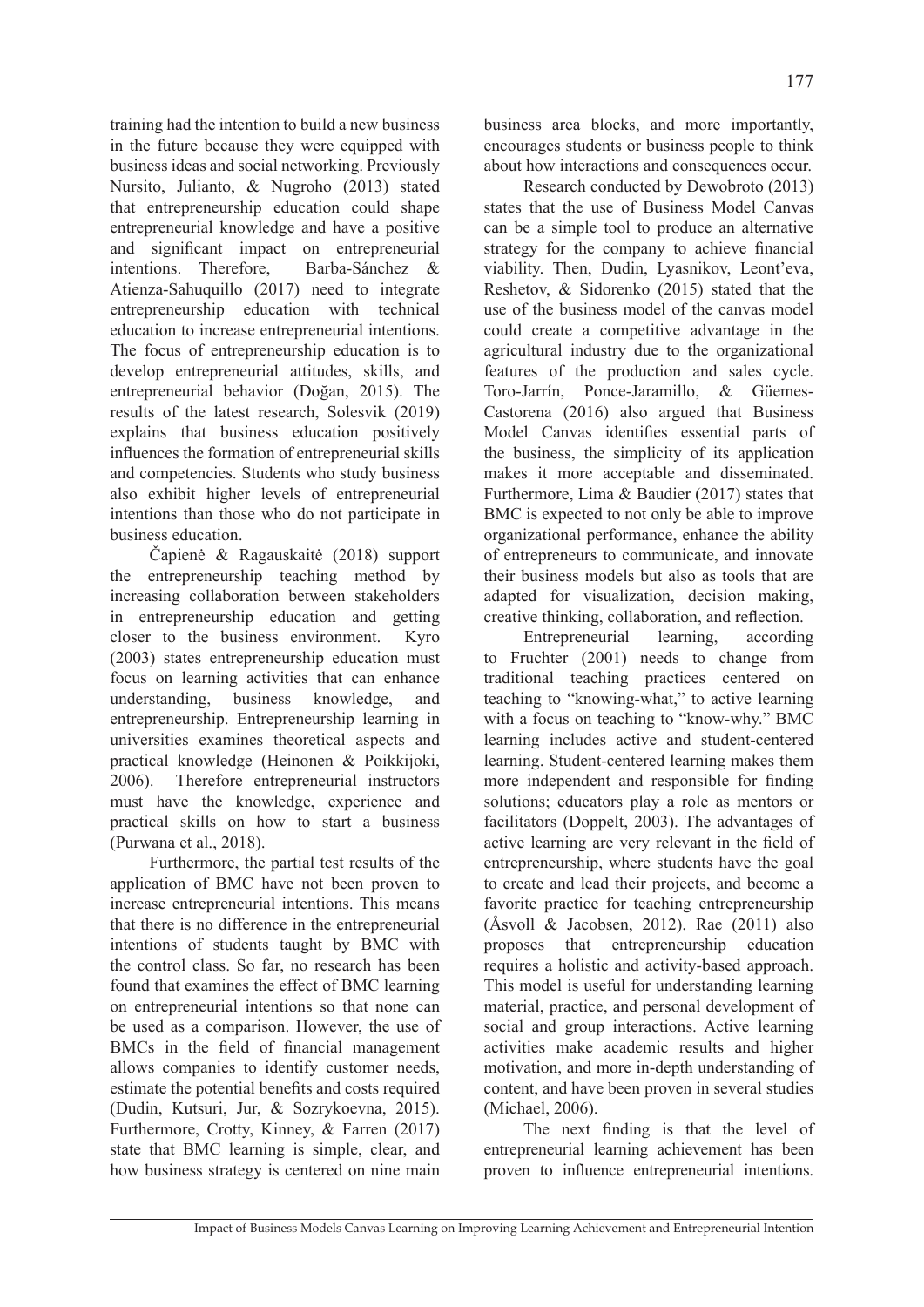training had the intention to build a new business in the future because they were equipped with business ideas and social networking. Previously Nursito, Julianto, & Nugroho (2013) stated that entrepreneurship education could shape entrepreneurial knowledge and have a positive and significant impact on entrepreneurial intentions. Therefore, Barba-Sánchez & Atienza-Sahuquillo (2017) need to integrate entrepreneurship education with technical education to increase entrepreneurial intentions. The focus of entrepreneurship education is to develop entrepreneurial attitudes, skills, and entrepreneurial behavior (Doğan, 2015). The results of the latest research, Solesvik (2019) explains that business education positively influences the formation of entrepreneurial skills and competencies. Students who study business also exhibit higher levels of entrepreneurial intentions than those who do not participate in business education.

Čapienė & Ragauskaitė (2018) support the entrepreneurship teaching method by increasing collaboration between stakeholders in entrepreneurship education and getting closer to the business environment. Kyro (2003) states entrepreneurship education must focus on learning activities that can enhance understanding, business knowledge, and entrepreneurship. Entrepreneurship learning in universities examines theoretical aspects and practical knowledge (Heinonen & Poikkijoki, 2006). Therefore entrepreneurial instructors must have the knowledge, experience and practical skills on how to start a business (Purwana et al., 2018).

Furthermore, the partial test results of the application of BMC have not been proven to increase entrepreneurial intentions. This means that there is no difference in the entrepreneurial intentions of students taught by BMC with the control class. So far, no research has been found that examines the effect of BMC learning on entrepreneurial intentions so that none can be used as a comparison. However, the use of BMCs in the field of financial management allows companies to identify customer needs, estimate the potential benefits and costs required (Dudin, Kutsuri, Jur, & Sozrykoevna, 2015). Furthermore, Crotty, Kinney, & Farren (2017) state that BMC learning is simple, clear, and how business strategy is centered on nine main

business area blocks, and more importantly, encourages students or business people to think about how interactions and consequences occur.

Research conducted by Dewobroto (2013) states that the use of Business Model Canvas can be a simple tool to produce an alternative strategy for the company to achieve financial viability. Then, Dudin, Lyasnikov, Leont'eva, Reshetov, & Sidorenko (2015) stated that the use of the business model of the canvas model could create a competitive advantage in the agricultural industry due to the organizational features of the production and sales cycle. Toro-Jarrín, Ponce-Jaramillo, & Güemes-Castorena (2016) also argued that Business Model Canvas identifies essential parts of the business, the simplicity of its application makes it more acceptable and disseminated. Furthermore, Lima & Baudier (2017) states that BMC is expected to not only be able to improve organizational performance, enhance the ability of entrepreneurs to communicate, and innovate their business models but also as tools that are adapted for visualization, decision making, creative thinking, collaboration, and reflection.

Entrepreneurial learning, according to Fruchter (2001) needs to change from traditional teaching practices centered on teaching to "knowing-what," to active learning with a focus on teaching to "know-why." BMC learning includes active and student-centered learning. Student-centered learning makes them more independent and responsible for finding solutions; educators play a role as mentors or facilitators (Doppelt, 2003). The advantages of active learning are very relevant in the field of entrepreneurship, where students have the goal to create and lead their projects, and become a favorite practice for teaching entrepreneurship (Åsvoll & Jacobsen, 2012). Rae (2011) also proposes that entrepreneurship education requires a holistic and activity-based approach. This model is useful for understanding learning material, practice, and personal development of social and group interactions. Active learning activities make academic results and higher motivation, and more in-depth understanding of content, and have been proven in several studies (Michael, 2006).

The next finding is that the level of entrepreneurial learning achievement has been proven to influence entrepreneurial intentions.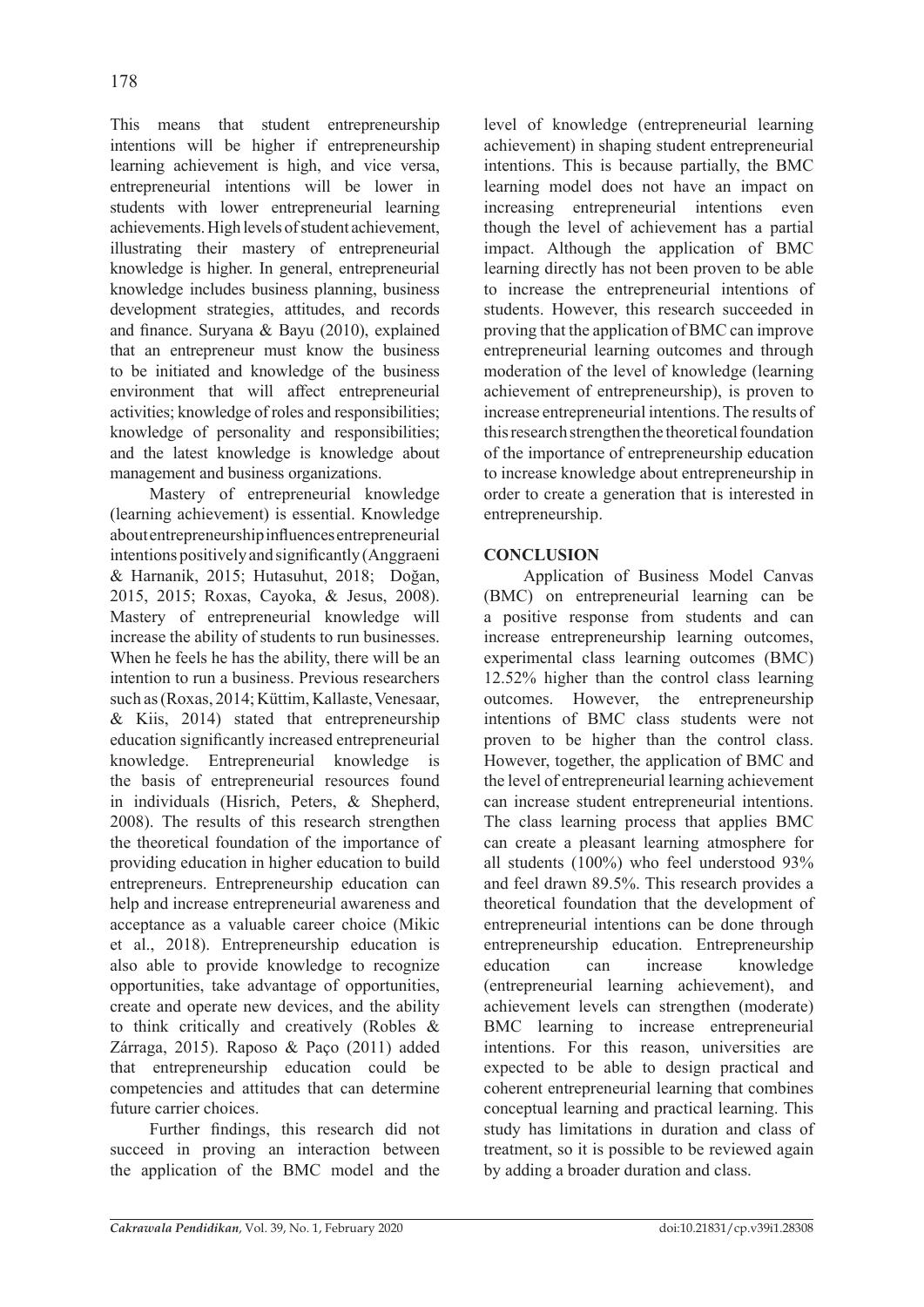This means that student entrepreneurship intentions will be higher if entrepreneurship learning achievement is high, and vice versa, entrepreneurial intentions will be lower in students with lower entrepreneurial learning achievements. High levels of student achievement, illustrating their mastery of entrepreneurial knowledge is higher. In general, entrepreneurial knowledge includes business planning, business development strategies, attitudes, and records and finance. Suryana & Bayu (2010), explained that an entrepreneur must know the business to be initiated and knowledge of the business environment that will affect entrepreneurial activities; knowledge of roles and responsibilities; knowledge of personality and responsibilities; and the latest knowledge is knowledge about management and business organizations.

Mastery of entrepreneurial knowledge (learning achievement) is essential. Knowledge about entrepreneurship influences entrepreneurial intentions positively and significantly (Anggraeni & Harnanik, 2015; Hutasuhut, 2018; Doğan, 2015, 2015; Roxas, Cayoka, & Jesus, 2008). Mastery of entrepreneurial knowledge will increase the ability of students to run businesses. When he feels he has the ability, there will be an intention to run a business. Previous researchers such as (Roxas, 2014; Küttim, Kallaste, Venesaar,  $& Kii, 2014)$  stated that entrepreneurship education significantly increased entrepreneurial knowledge. Entrepreneurial knowledge is the basis of entrepreneurial resources found in individuals (Hisrich, Peters, & Shepherd, 2008). The results of this research strengthen the theoretical foundation of the importance of providing education in higher education to build entrepreneurs. Entrepreneurship education can help and increase entrepreneurial awareness and acceptance as a valuable career choice (Mikic et al., 2018). Entrepreneurship education is also able to provide knowledge to recognize opportunities, take advantage of opportunities, create and operate new devices, and the ability to think critically and creatively (Robles & Zárraga, 2015). Raposo & Paço (2011) added that entrepreneurship education could be competencies and attitudes that can determine future carrier choices.

Further findings, this research did not succeed in proving an interaction between the application of the BMC model and the level of knowledge (entrepreneurial learning achievement) in shaping student entrepreneurial intentions. This is because partially, the BMC learning model does not have an impact on increasing entrepreneurial intentions even though the level of achievement has a partial impact. Although the application of BMC learning directly has not been proven to be able to increase the entrepreneurial intentions of students. However, this research succeeded in proving that the application of BMC can improve entrepreneurial learning outcomes and through moderation of the level of knowledge (learning achievement of entrepreneurship), is proven to increase entrepreneurial intentions. The results of this research strengthen the theoretical foundation of the importance of entrepreneurship education to increase knowledge about entrepreneurship in order to create a generation that is interested in entrepreneurship.

# **CONCLUSION**

Application of Business Model Canvas (BMC) on entrepreneurial learning can be a positive response from students and can increase entrepreneurship learning outcomes, experimental class learning outcomes (BMC) 12.52% higher than the control class learning outcomes. However, the entrepreneurship intentions of BMC class students were not proven to be higher than the control class. However, together, the application of BMC and the level of entrepreneurial learning achievement can increase student entrepreneurial intentions. The class learning process that applies BMC can create a pleasant learning atmosphere for all students (100%) who feel understood 93% and feel drawn 89.5%. This research provides a theoretical foundation that the development of entrepreneurial intentions can be done through entrepreneurship education. Entrepreneurship education can increase knowledge (entrepreneurial learning achievement), and achievement levels can strengthen (moderate) BMC learning to increase entrepreneurial intentions. For this reason, universities are expected to be able to design practical and coherent entrepreneurial learning that combines conceptual learning and practical learning. This study has limitations in duration and class of treatment, so it is possible to be reviewed again by adding a broader duration and class.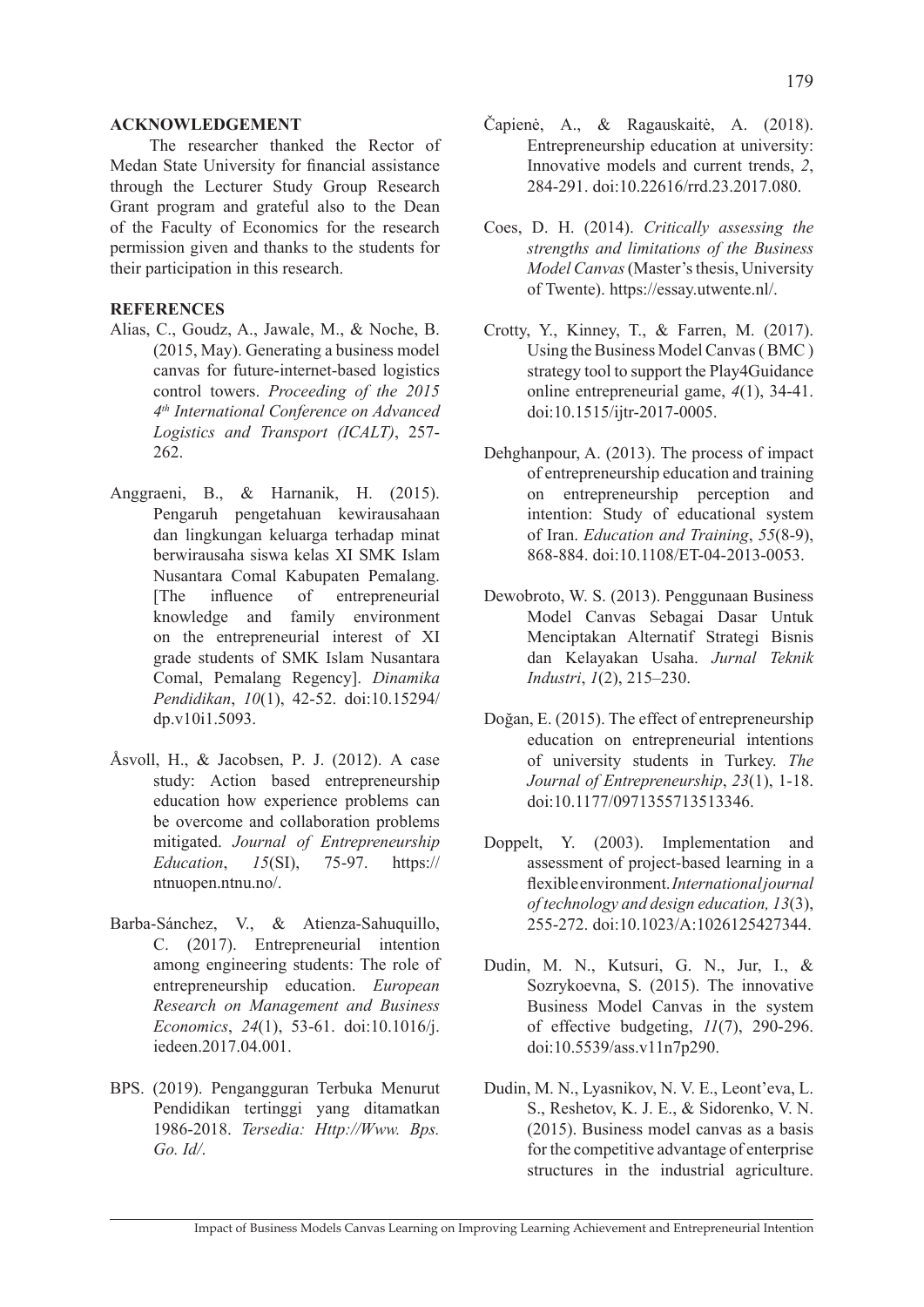#### **ACKNOWLEDGEMENT**

The researcher thanked the Rector of Medan State University for financial assistance through the Lecturer Study Group Research Grant program and grateful also to the Dean of the Faculty of Economics for the research permission given and thanks to the students for their participation in this research.

### **REFERENCES**

- Alias, C., Goudz, A., Jawale, M., & Noche, B. (2015, May). Generating a business model canvas for future-internet-based logistics control towers. *Proceeding of the 2015 4th International Conference on Advanced Logistics and Transport (ICALT)*, 257- 262.
- Anggraeni, B., & Harnanik, H. (2015). Pengaruh pengetahuan kewirausahaan dan lingkungan keluarga terhadap minat berwirausaha siswa kelas XI SMK Islam Nusantara Comal Kabupaten Pemalang. [The influence of entrepreneurial knowledge and family environment on the entrepreneurial interest of XI grade students of SMK Islam Nusantara Comal, Pemalang Regency]. *Dinamika Pendidikan*, *10*(1), 42-52. doi:10.15294/ dp.v10i1.5093.
- Åsvoll, H., & Jacobsen, P. J. (2012). A case study: Action based entrepreneurship education how experience problems can be overcome and collaboration problems mitigated. *Journal of Entrepreneurship Education*, *15*(SI), 75-97. https:// ntnuopen.ntnu.no/.
- Barba-Sánchez, V., & Atienza-Sahuquillo, C. (2017). Entrepreneurial intention among engineering students: The role of entrepreneurship education. *European Research on Management and Business Economics*, *24*(1), 53-61. doi:10.1016/j. iedeen.2017.04.001.
- BPS. (2019). Pengangguran Terbuka Menurut Pendidikan tertinggi yang ditamatkan 1986-2018. *Tersedia: Http://Www. Bps. Go. Id/*.
- Čapienė, A., & Ragauskaitė, A. (2018). Entrepreneurship education at university: Innovative models and current trends, *2*, 284-291. doi:10.22616/rrd.23.2017.080.
- Coes, D. H. (2014). *Critically assessing the strengths and limitations of the Business Model Canvas* (Master's thesis, University of Twente). https://essay.utwente.nl/.
- Crotty, Y., Kinney, T., & Farren, M. (2017). Using the Business Model Canvas ( BMC ) strategy tool to support the Play4Guidance online entrepreneurial game, *4*(1), 34-41. doi:10.1515/ijtr-2017-0005.
- Dehghanpour, A. (2013). The process of impact of entrepreneurship education and training on entrepreneurship perception and intention: Study of educational system of Iran. *Education and Training*, *55*(8-9), 868-884. doi:10.1108/ET-04-2013-0053.
- Dewobroto, W. S. (2013). Penggunaan Business Model Canvas Sebagai Dasar Untuk Menciptakan Alternatif Strategi Bisnis dan Kelayakan Usaha. *Jurnal Teknik Industri*, *1*(2), 215–230.
- Doğan, E. (2015). The effect of entrepreneurship education on entrepreneurial intentions of university students in Turkey. *The Journal of Entrepreneurship*, *23*(1), 1-18. doi:10.1177/0971355713513346.
- Doppelt, Y. (2003). Implementation and assessment of project-based learning in a flexible environment. *International journal of technology and design education, 13*(3), 255-272. doi:10.1023/A:1026125427344.
- Dudin, M. N., Kutsuri, G. N., Jur, I., & Sozrykoevna, S. (2015). The innovative Business Model Canvas in the system of effective budgeting, *11*(7), 290-296. doi:10.5539/ass.v11n7p290.
- Dudin, M. N., Lyasnikov, N. V. E., Leont'eva, L. S., Reshetov, K. J. E., & Sidorenko, V. N. (2015). Business model canvas as a basis for the competitive advantage of enterprise structures in the industrial agriculture.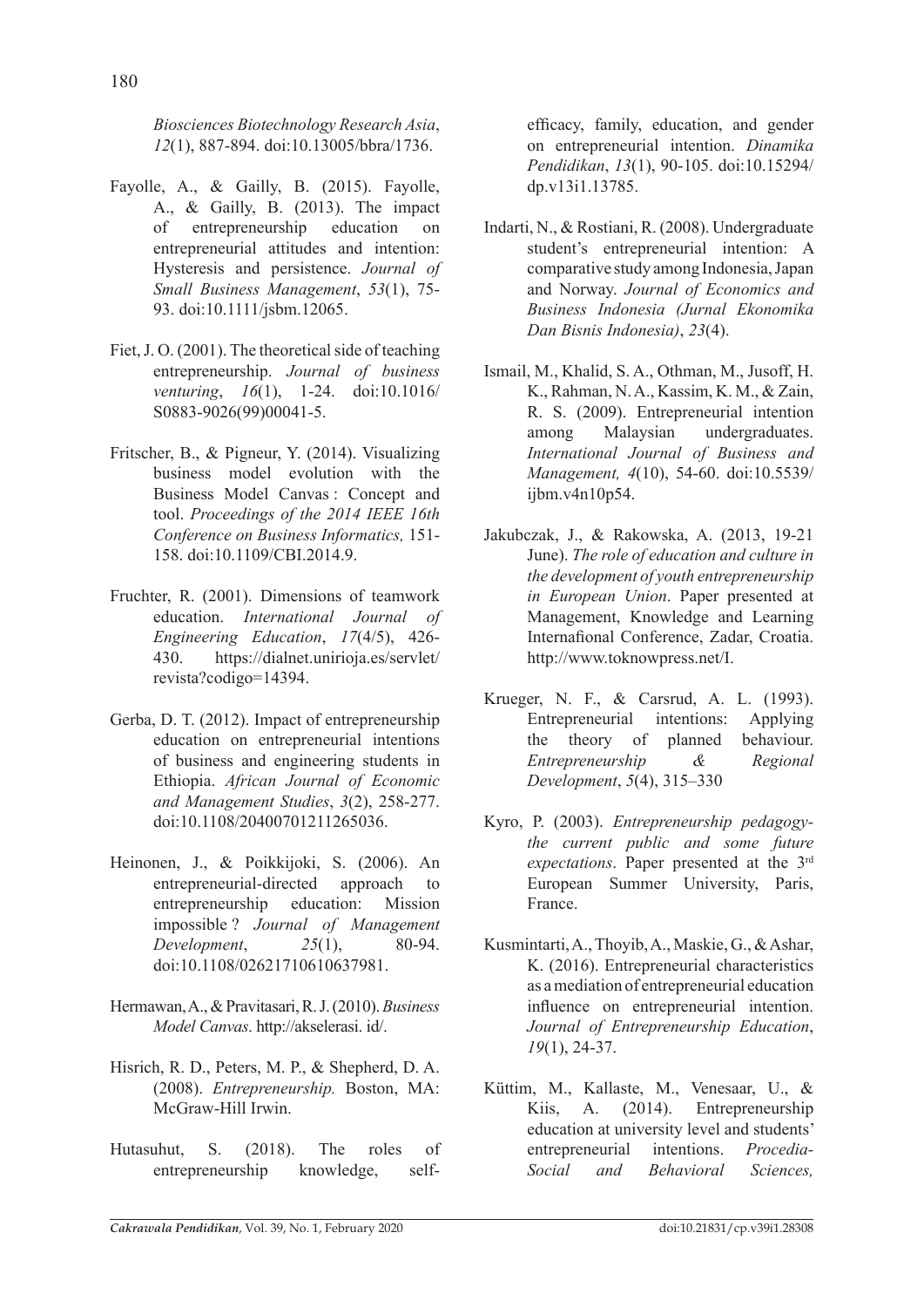*Biosciences Biotechnology Research Asia*, *12*(1), 887-894. doi:10.13005/bbra/1736.

- Fayolle, A., & Gailly, B. (2015). Fayolle, A., & Gailly, B. (2013). The impact of entrepreneurship education on entrepreneurial attitudes and intention: Hysteresis and persistence. *Journal of Small Business Management*, *53*(1), 75- 93. doi:10.1111/jsbm.12065.
- Fiet, J. O. (2001). The theoretical side of teaching entrepreneurship. *Journal of business venturing*, *16*(1), 1-24. doi:10.1016/ S0883-9026(99)00041-5.
- Fritscher, B., & Pigneur, Y. (2014). Visualizing business model evolution with the Business Model Canvas : Concept and tool. *Proceedings of the 2014 IEEE 16th Conference on Business Informatics,* 151- 158. doi:10.1109/CBI.2014.9.
- Fruchter, R. (2001). Dimensions of teamwork education. *International Journal of Engineering Education*, *17*(4/5), 426- 430. https://dialnet.unirioja.es/servlet/ revista?codigo=14394.
- Gerba, D. T. (2012). Impact of entrepreneurship education on entrepreneurial intentions of business and engineering students in Ethiopia. *African Journal of Economic and Management Studies*, *3*(2), 258-277. doi:10.1108/20400701211265036.
- Heinonen, J., & Poikkijoki, S. (2006). An entrepreneurial-directed approach to entrepreneurship education: Mission impossible ? *Journal of Management Development*, *25*(1), 80-94. doi:10.1108/02621710610637981.
- Hermawan, A., & Pravitasari, R. J. (2010). *Business Model Canvas*. http://akselerasi. id/.
- Hisrich, R. D., Peters, M. P., & Shepherd, D. A. (2008). *Entrepreneurship.* Boston, MA: McGraw-Hill Irwin.
- Hutasuhut, S. (2018). The roles of entrepreneurship knowledge, self-

efficacy, family, education, and gender on entrepreneurial intention. *Dinamika Pendidikan*, *13*(1), 90-105. doi:10.15294/ dp.v13i1.13785.

- Indarti, N., & Rostiani, R. (2008). Undergraduate student's entrepreneurial intention: A comparative study among Indonesia, Japan and Norway. *Journal of Economics and Business Indonesia (Jurnal Ekonomika Dan Bisnis Indonesia)*, *23*(4).
- Ismail, M., Khalid, S. A., Othman, M., Jusoff, H. K., Rahman, N. A., Kassim, K. M., & Zain, R. S. (2009). Entrepreneurial intention among Malaysian undergraduates. *International Journal of Business and Management, 4*(10), 54-60. doi:10.5539/ ijbm.v4n10p54.
- Jakubczak, J., & Rakowska, A. (2013, 19-21 June). *The role of education and culture in the development of youth entrepreneurship in European Union*. Paper presented at Management, Knowledge and Learning Internafional Conference, Zadar, Croatia. http://www.toknowpress.net/I.
- Krueger, N. F., & Carsrud, A. L. (1993). Entrepreneurial intentions: Applying the theory of planned behaviour. *Entrepreneurship & Regional Development*, *5*(4), 315–330
- Kyro, P. (2003). *Entrepreneurship pedagogythe current public and some future expectations*. Paper presented at the 3rd European Summer University, Paris, France.
- Kusmintarti, A., Thoyib, A., Maskie, G., & Ashar, K. (2016). Entrepreneurial characteristics as a mediation of entrepreneurial education influence on entrepreneurial intention. *Journal of Entrepreneurship Education*, *19*(1), 24-37.
- Küttim, M., Kallaste, M., Venesaar, U., & Kiis, A. (2014). Entrepreneurship education at university level and students' entrepreneurial intentions. *Procedia-Social and Behavioral Sciences,*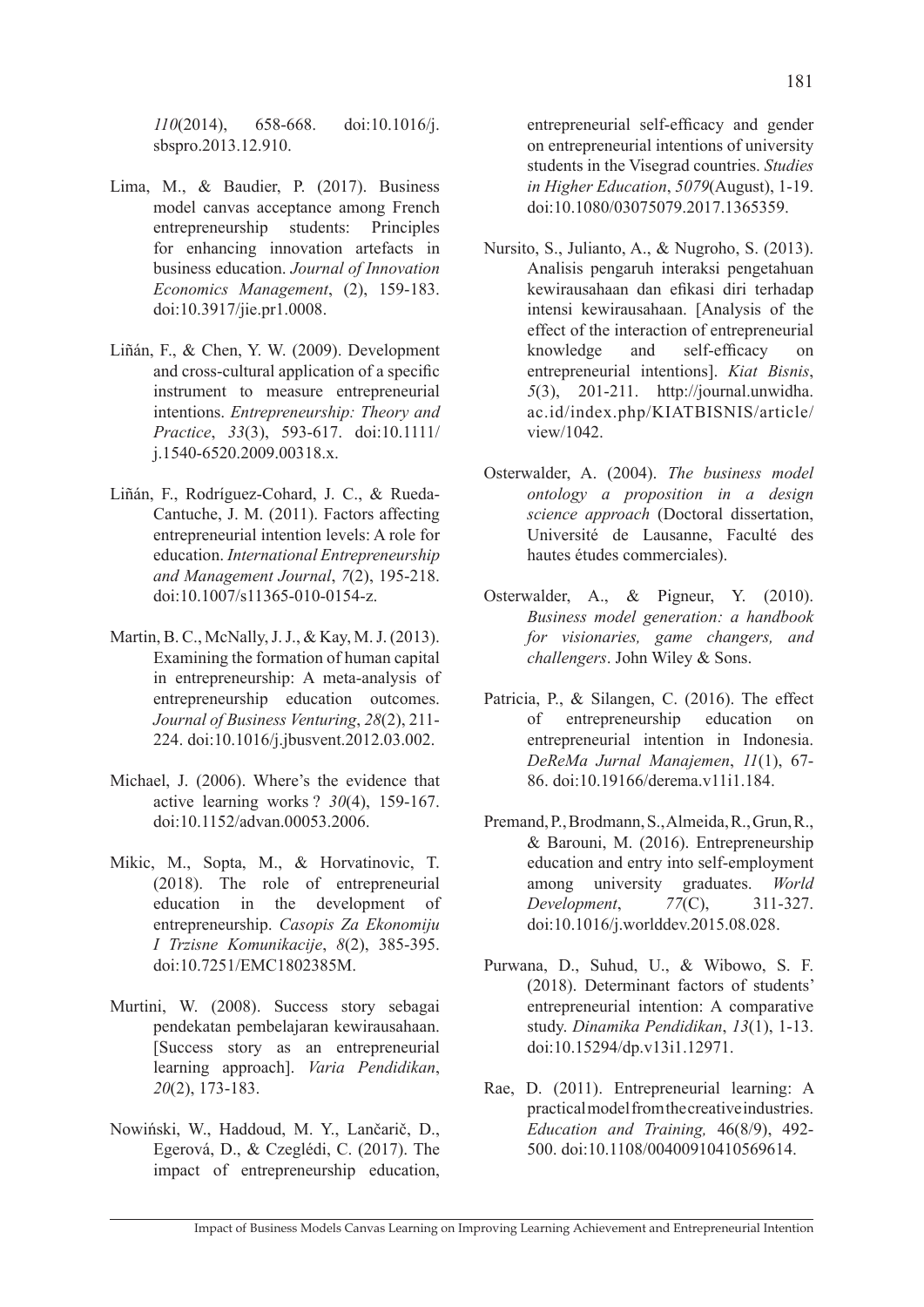*110*(2014), 658-668. doi:10.1016/j. sbspro.2013.12.910.

- Lima, M., & Baudier, P. (2017). Business model canvas acceptance among French entrepreneurship students: Principles for enhancing innovation artefacts in business education. *Journal of Innovation Economics Management*, (2), 159-183. doi:10.3917/jie.pr1.0008.
- Liñán, F., & Chen, Y. W. (2009). Development and cross-cultural application of a specific instrument to measure entrepreneurial intentions. *Entrepreneurship: Theory and Practice*, *33*(3), 593-617. doi:10.1111/ j.1540-6520.2009.00318.x.
- Liñán, F., Rodríguez-Cohard, J. C., & Rueda-Cantuche, J. M. (2011). Factors affecting entrepreneurial intention levels: A role for education. *International Entrepreneurship and Management Journal*, *7*(2), 195-218. doi:10.1007/s11365-010-0154-z.
- Martin, B. C., McNally, J. J., & Kay, M. J. (2013). Examining the formation of human capital in entrepreneurship: A meta-analysis of entrepreneurship education outcomes. *Journal of Business Venturing*, *28*(2), 211- 224. doi:10.1016/j.jbusvent.2012.03.002.
- Michael, J. (2006). Where's the evidence that active learning works ? *30*(4), 159-167. doi:10.1152/advan.00053.2006.
- Mikic, M., Sopta, M., & Horvatinovic, T. (2018). The role of entrepreneurial education in the development of entrepreneurship. *Casopis Za Ekonomiju I Trzisne Komunikacije*, *8*(2), 385-395. doi:10.7251/EMC1802385M.
- Murtini, W. (2008). Success story sebagai pendekatan pembelajaran kewirausahaan. [Success story as an entrepreneurial learning approach]. *Varia Pendidikan*, *20*(2), 173-183.
- Nowiński, W., Haddoud, M. Y., Lančarič, D., Egerová, D., & Czeglédi, C. (2017). The impact of entrepreneurship education,

entrepreneurial self-efficacy and gender on entrepreneurial intentions of university students in the Visegrad countries. *Studies in Higher Education*, *5079*(August), 1-19. doi:10.1080/03075079.2017.1365359.

- Nursito, S., Julianto, A., & Nugroho, S. (2013). Analisis pengaruh interaksi pengetahuan kewirausahaan dan efikasi diri terhadap intensi kewirausahaan. [Analysis of the effect of the interaction of entrepreneurial knowledge and self-efficacy on entrepreneurial intentions]. *Kiat Bisnis*, *5*(3), 201-211. http://journal.unwidha. ac.id/index.php/KIATBISNIS/article/ view/1042.
- Osterwalder, A. (2004). *The business model ontology a proposition in a design science approach* (Doctoral dissertation, Université de Lausanne, Faculté des hautes études commerciales).
- Osterwalder, A., & Pigneur, Y. (2010). *Business model generation: a handbook for visionaries, game changers, and challengers*. John Wiley & Sons.
- Patricia, P., & Silangen, C. (2016). The effect of entrepreneurship education on entrepreneurial intention in Indonesia. *DeReMa Jurnal Manajemen*, *11*(1), 67- 86. doi:10.19166/derema.v11i1.184.
- Premand, P., Brodmann, S., Almeida, R., Grun, R., & Barouni, M. (2016). Entrepreneurship education and entry into self-employment among university graduates. *World*<br>Development. 77(C), 311-327. *Development*, *77*(C), 311-327. doi:10.1016/j.worlddev.2015.08.028.
- Purwana, D., Suhud, U., & Wibowo, S. F. (2018). Determinant factors of students' entrepreneurial intention: A comparative study. *Dinamika Pendidikan*, *13*(1), 1-13. doi:10.15294/dp.v13i1.12971.
- Rae, D. (2011). Entrepreneurial learning: A practical model from the creative industries. *Education and Training,* 46(8/9), 492- 500. doi:10.1108/00400910410569614.